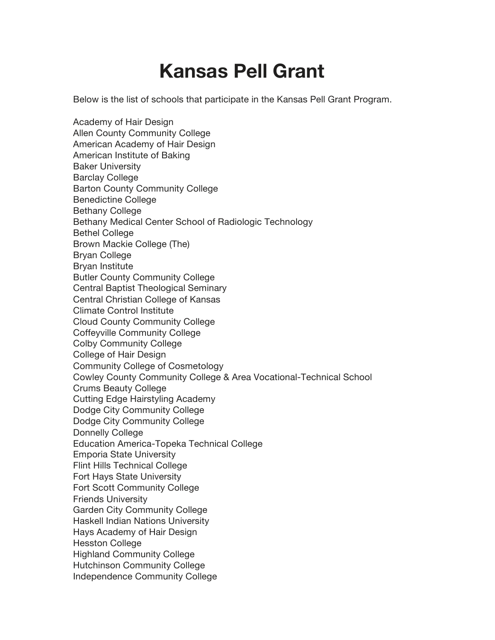## **Kansas Pell Grant**

Below is the list of schools that participate in the Kansas Pell Grant Program.

Academy of Hair Design Allen County Community College American Academy of Hair Design American Institute of Baking Baker University Barclay College Barton County Community College Benedictine College Bethany College Bethany Medical Center School of Radiologic Technology Bethel College Brown Mackie College (The) Bryan College Bryan Institute Butler County Community College Central Baptist Theological Seminary Central Christian College of Kansas Climate Control Institute Cloud County Community College Coffeyville Community College Colby Community College College of Hair Design Community College of Cosmetology Cowley County Community College & Area Vocational-Technical School Crums Beauty College Cutting Edge Hairstyling Academy Dodge City Community College Dodge City Community College Donnelly College Education America-Topeka Technical College Emporia State University Flint Hills Technical College Fort Hays State University Fort Scott Community College Friends University Garden City Community College Haskell Indian Nations University Hays Academy of Hair Design Hesston College Highland Community College Hutchinson Community College Independence Community College